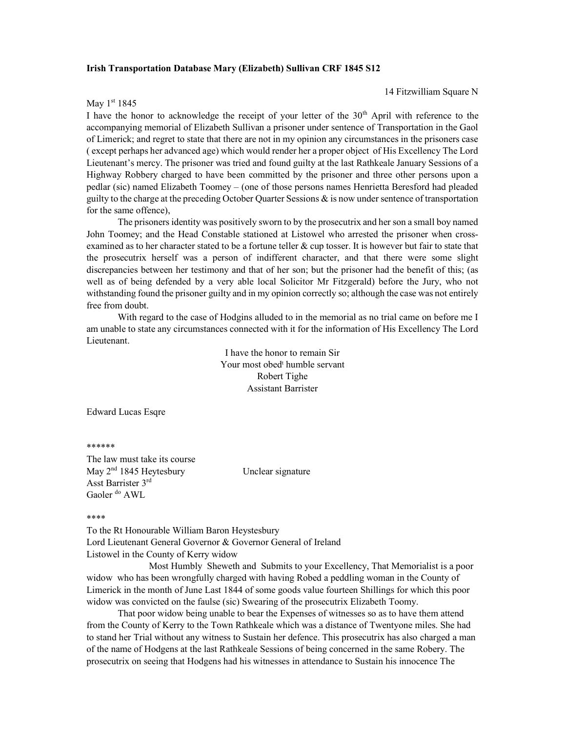## Irish Transportation Database Mary (Elizabeth) Sullivan CRF 1845 S12

May 1<sup>st</sup> 1845

14 Fitzwilliam Square N

I have the honor to acknowledge the receipt of your letter of the  $30<sup>th</sup>$  April with reference to the accompanying memorial of Elizabeth Sullivan a prisoner under sentence of Transportation in the Gaol of Limerick; and regret to state that there are not in my opinion any circumstances in the prisoners case ( except perhaps her advanced age) which would render her a proper object of His Excellency The Lord Lieutenant's mercy. The prisoner was tried and found guilty at the last Rathkeale January Sessions of a Highway Robbery charged to have been committed by the prisoner and three other persons upon a pedlar (sic) named Elizabeth Toomey – (one of those persons names Henrietta Beresford had pleaded guilty to the charge at the preceding October Quarter Sessions & is now under sentence of transportation for the same offence),

 The prisoners identity was positively sworn to by the prosecutrix and her son a small boy named John Toomey; and the Head Constable stationed at Listowel who arrested the prisoner when crossexamined as to her character stated to be a fortune teller & cup tosser. It is however but fair to state that the prosecutrix herself was a person of indifferent character, and that there were some slight discrepancies between her testimony and that of her son; but the prisoner had the benefit of this; (as well as of being defended by a very able local Solicitor Mr Fitzgerald) before the Jury, who not withstanding found the prisoner guilty and in my opinion correctly so; although the case was not entirely free from doubt.

 With regard to the case of Hodgins alluded to in the memorial as no trial came on before me I am unable to state any circumstances connected with it for the information of His Excellency The Lord Lieutenant.

> I have the honor to remain Sir Your most obed<sup>t</sup> humble servant Robert Tighe Assistant Barrister

Edward Lucas Esqre

\*\*\*\*\*\*

The law must take its course  $\text{May } 2^{\text{nd}}$  1845 Heytesbury Unclear signature Asst Barrister 3<sup>rd</sup> Gaoler <sup>do</sup> AWL

\*\*\*\*

To the Rt Honourable William Baron Heystesbury Lord Lieutenant General Governor & Governor General of Ireland Listowel in the County of Kerry widow

 Most Humbly Sheweth and Submits to your Excellency, That Memorialist is a poor widow who has been wrongfully charged with having Robed a peddling woman in the County of Limerick in the month of June Last 1844 of some goods value fourteen Shillings for which this poor widow was convicted on the faulse (sic) Swearing of the prosecutrix Elizabeth Toomy.

 That poor widow being unable to bear the Expenses of witnesses so as to have them attend from the County of Kerry to the Town Rathkeale which was a distance of Twentyone miles. She had to stand her Trial without any witness to Sustain her defence. This prosecutrix has also charged a man of the name of Hodgens at the last Rathkeale Sessions of being concerned in the same Robery. The prosecutrix on seeing that Hodgens had his witnesses in attendance to Sustain his innocence The